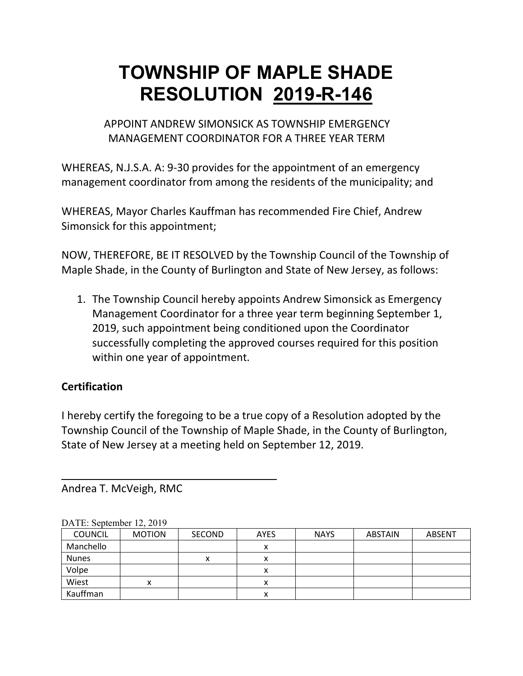APPOINT ANDREW SIMONSICK AS TOWNSHIP EMERGENCY MANAGEMENT COORDINATOR FOR A THREE YEAR TERM

WHEREAS, N.J.S.A. A: 9-30 provides for the appointment of an emergency management coordinator from among the residents of the municipality; and

WHEREAS, Mayor Charles Kauffman has recommended Fire Chief, Andrew Simonsick for this appointment;

NOW, THEREFORE, BE IT RESOLVED by the Township Council of the Township of Maple Shade, in the County of Burlington and State of New Jersey, as follows:

1. The Township Council hereby appoints Andrew Simonsick as Emergency Management Coordinator for a three year term beginning September 1, 2019, such appointment being conditioned upon the Coordinator successfully completing the approved courses required for this position within one year of appointment.

### **Certification**

I hereby certify the foregoing to be a true copy of a Resolution adopted by the Township Council of the Township of Maple Shade, in the County of Burlington, State of New Jersey at a meeting held on September 12, 2019.

Andrea T. McVeigh, RMC

| <b>COUNCIL</b> | <b>MOTION</b> | <b>SECOND</b> | <b>AYES</b> | <b>NAYS</b> | <b>ABSTAIN</b> | <b>ABSENT</b> |
|----------------|---------------|---------------|-------------|-------------|----------------|---------------|
| Manchello      |               |               | Λ           |             |                |               |
| <b>Nunes</b>   |               |               |             |             |                |               |
| Volpe          |               |               |             |             |                |               |
| Wiest          | х             |               |             |             |                |               |
| Kauffman       |               |               | ́           |             |                |               |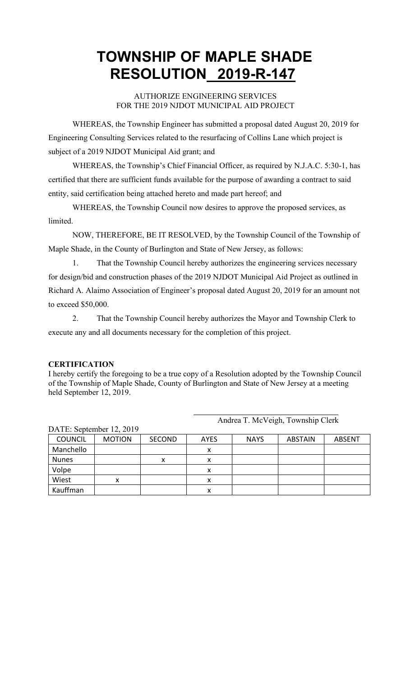### AUTHORIZE ENGINEERING SERVICES FOR THE 2019 NJDOT MUNICIPAL AID PROJECT

WHEREAS, the Township Engineer has submitted a proposal dated August 20, 2019 for Engineering Consulting Services related to the resurfacing of Collins Lane which project is subject of a 2019 NJDOT Municipal Aid grant; and

WHEREAS, the Township's Chief Financial Officer, as required by N.J.A.C. 5:30-1, has certified that there are sufficient funds available for the purpose of awarding a contract to said entity, said certification being attached hereto and made part hereof; and

WHEREAS, the Township Council now desires to approve the proposed services, as limited.

NOW, THEREFORE, BE IT RESOLVED, by the Township Council of the Township of Maple Shade, in the County of Burlington and State of New Jersey, as follows:

1. That the Township Council hereby authorizes the engineering services necessary for design/bid and construction phases of the 2019 NJDOT Municipal Aid Project as outlined in Richard A. Alaimo Association of Engineer's proposal dated August 20, 2019 for an amount not to exceed \$50,000.

2. That the Township Council hereby authorizes the Mayor and Township Clerk to execute any and all documents necessary for the completion of this project.

### **CERTIFICATION**

I hereby certify the foregoing to be a true copy of a Resolution adopted by the Township Council of the Township of Maple Shade, County of Burlington and State of New Jersey at a meeting held September 12, 2019.

| DATE: September 12, 2019 |               |               |             |             |                |               |
|--------------------------|---------------|---------------|-------------|-------------|----------------|---------------|
| <b>COUNCIL</b>           | <b>MOTION</b> | <b>SECOND</b> | <b>AYES</b> | <b>NAYS</b> | <b>ABSTAIN</b> | <b>ABSENT</b> |
| Manchello                |               |               | x           |             |                |               |
| <b>Nunes</b>             |               | x             | Λ           |             |                |               |
| Volpe                    |               |               | x           |             |                |               |
| Wiest                    | x             |               | x           |             |                |               |
| Kauffman                 |               |               | ́           |             |                |               |

Andrea T. McVeigh, Township Clerk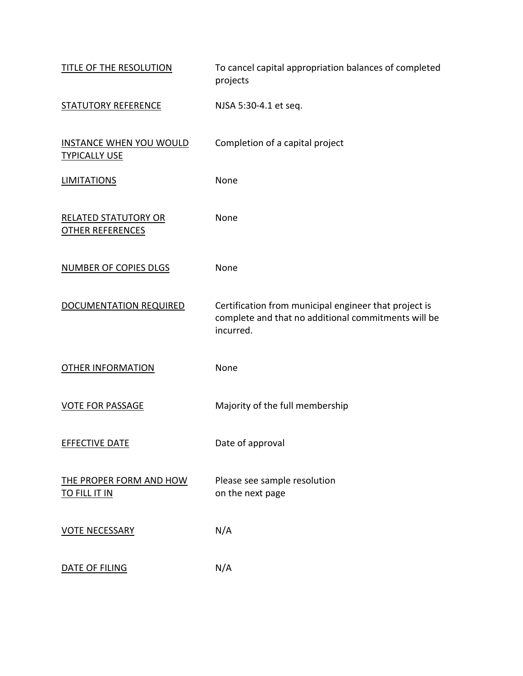| TITLE OF THE RESOLUTION                                | To cancel capital appropriation balances of completed<br>projects                                                         |
|--------------------------------------------------------|---------------------------------------------------------------------------------------------------------------------------|
| <b>STATUTORY REFERENCE</b>                             | NJSA 5:30-4.1 et seq.                                                                                                     |
| <b>INSTANCE WHEN YOU WOULD</b><br><b>TYPICALLY USE</b> | Completion of a capital project                                                                                           |
| <b>LIMITATIONS</b>                                     | None                                                                                                                      |
| <b>RELATED STATUTORY OR</b><br><b>OTHER REFERENCES</b> | None                                                                                                                      |
| <b>NUMBER OF COPIES DLGS</b>                           | None                                                                                                                      |
| DOCUMENTATION REQUIRED                                 | Certification from municipal engineer that project is<br>complete and that no additional commitments will be<br>incurred. |
| <b>OTHER INFORMATION</b>                               | None                                                                                                                      |
| <b>VOTE FOR PASSAGE</b>                                | Majority of the full membership                                                                                           |
| <b>EFFECTIVE DATE</b>                                  | Date of approval                                                                                                          |
| THE PROPER FORM AND HOW<br><b>TO FILL IT IN</b>        | Please see sample resolution<br>on the next page                                                                          |
| <b>VOTE NECESSARY</b>                                  | N/A                                                                                                                       |
| DATE OF FILING                                         | N/A                                                                                                                       |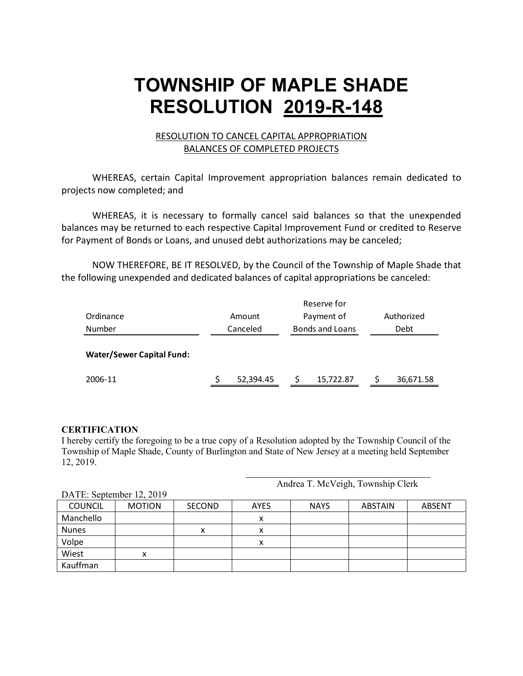#### RESOLUTION TO CANCEL CAPITAL APPROPRIATION BALANCES OF COMPLETED PROJECTS

WHEREAS, certain Capital Improvement appropriation balances remain dedicated to projects now completed; and

WHEREAS, it is necessary to formally cancel said balances so that the unexpended balances may be returned to each respective Capital Improvement Fund or credited to Reserve for Payment of Bonds or Loans, and unused debt authorizations may be canceled;

NOW THEREFORE, BE IT RESOLVED, by the Council of the Township of Maple Shade that the following unexpended and dedicated balances of capital appropriations be canceled:

|                                  | Reserve for |           |                        |            |      |            |
|----------------------------------|-------------|-----------|------------------------|------------|------|------------|
| Ordinance                        |             | Amount    |                        | Payment of |      | Authorized |
| Number                           |             | Canceled  | <b>Bonds and Loans</b> |            | Debt |            |
| <b>Water/Sewer Capital Fund:</b> |             |           |                        |            |      |            |
| 2006-11                          |             | 52,394.45 |                        | 15,722.87  |      | 36,671.58  |

#### **CERTIFICATION**

I hereby certify the foregoing to be a true copy of a Resolution adopted by the Township Council of the Township of Maple Shade, County of Burlington and State of New Jersey at a meeting held September 12, 2019.

Andrea T. McVeigh, Township Clerk

| $DATL$ . September 12, $2017$ |               |               |             |             |                |               |
|-------------------------------|---------------|---------------|-------------|-------------|----------------|---------------|
| <b>COUNCIL</b>                | <b>MOTION</b> | <b>SECOND</b> | <b>AYES</b> | <b>NAYS</b> | <b>ABSTAIN</b> | <b>ABSENT</b> |
| Manchello                     |               |               | ́           |             |                |               |
| <b>Nunes</b>                  |               | x             | ́           |             |                |               |
| Volpe                         |               |               | v           |             |                |               |
| Wiest                         |               |               |             |             |                |               |
| Kauffman                      |               |               |             |             |                |               |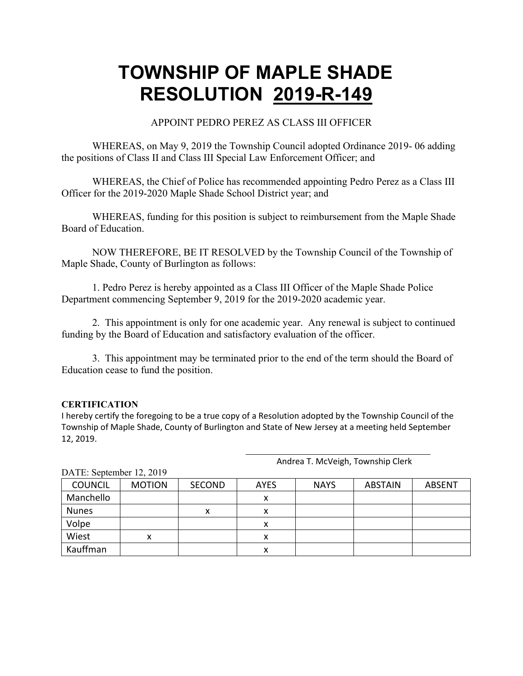#### APPOINT PEDRO PEREZ AS CLASS III OFFICER

WHEREAS, on May 9, 2019 the Township Council adopted Ordinance 2019- 06 adding the positions of Class II and Class III Special Law Enforcement Officer; and

WHEREAS, the Chief of Police has recommended appointing Pedro Perez as a Class III Officer for the 2019-2020 Maple Shade School District year; and

WHEREAS, funding for this position is subject to reimbursement from the Maple Shade Board of Education.

NOW THEREFORE, BE IT RESOLVED by the Township Council of the Township of Maple Shade, County of Burlington as follows:

1. Pedro Perez is hereby appointed as a Class III Officer of the Maple Shade Police Department commencing September 9, 2019 for the 2019-2020 academic year.

2. This appointment is only for one academic year. Any renewal is subject to continued funding by the Board of Education and satisfactory evaluation of the officer.

3. This appointment may be terminated prior to the end of the term should the Board of Education cease to fund the position.

#### **CERTIFICATION**

I hereby certify the foregoing to be a true copy of a Resolution adopted by the Township Council of the Township of Maple Shade, County of Burlington and State of New Jersey at a meeting held September 12, 2019.

Andrea T. McVeigh, Township Clerk

| $D1$ , Depiender 12, 2017 |               |        |             |             |                |               |
|---------------------------|---------------|--------|-------------|-------------|----------------|---------------|
| <b>COUNCIL</b>            | <b>MOTION</b> | SECOND | <b>AYES</b> | <b>NAYS</b> | <b>ABSTAIN</b> | <b>ABSENT</b> |
| Manchello                 |               |        |             |             |                |               |
| <b>Nunes</b>              |               | х      |             |             |                |               |
| Volpe                     |               |        |             |             |                |               |
| Wiest                     |               |        |             |             |                |               |
| Kauffman                  |               |        | л           |             |                |               |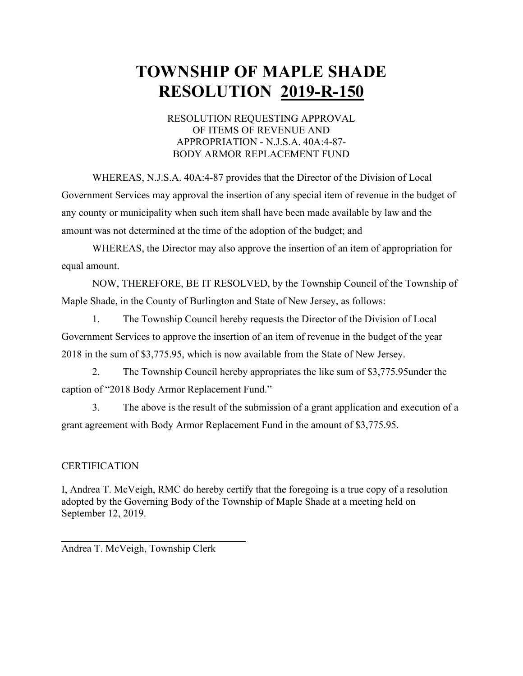#### RESOLUTION REQUESTING APPROVAL OF ITEMS OF REVENUE AND APPROPRIATION - N.J.S.A. 40A:4-87- BODY ARMOR REPLACEMENT FUND

WHEREAS, N.J.S.A. 40A:4-87 provides that the Director of the Division of Local Government Services may approval the insertion of any special item of revenue in the budget of any county or municipality when such item shall have been made available by law and the amount was not determined at the time of the adoption of the budget; and

WHEREAS, the Director may also approve the insertion of an item of appropriation for equal amount.

NOW, THEREFORE, BE IT RESOLVED, by the Township Council of the Township of Maple Shade, in the County of Burlington and State of New Jersey, as follows:

1. The Township Council hereby requests the Director of the Division of Local Government Services to approve the insertion of an item of revenue in the budget of the year 2018 in the sum of \$3,775.95, which is now available from the State of New Jersey.

2. The Township Council hereby appropriates the like sum of \$3,775.95under the caption of "2018 Body Armor Replacement Fund."

3. The above is the result of the submission of a grant application and execution of a grant agreement with Body Armor Replacement Fund in the amount of \$3,775.95.

#### **CERTIFICATION**

I, Andrea T. McVeigh, RMC do hereby certify that the foregoing is a true copy of a resolution adopted by the Governing Body of the Township of Maple Shade at a meeting held on September 12, 2019.

Andrea T. McVeigh, Township Clerk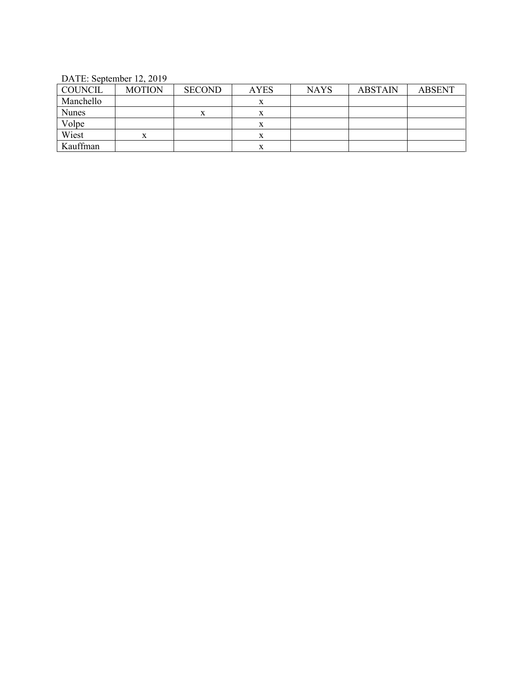DATE: September 12, 2019

| <b>COUNCIL</b> | <b>MOTION</b> | <b>SECOND</b> | <b>AYES</b> | <b>NAYS</b> | <b>ABSTAIN</b> | <b>ABSENT</b> |
|----------------|---------------|---------------|-------------|-------------|----------------|---------------|
| Manchello      |               |               |             |             |                |               |
| <b>Nunes</b>   |               | х             |             |             |                |               |
| Volpe          |               |               |             |             |                |               |
| Wiest          |               |               |             |             |                |               |
| Kauffman       |               |               |             |             |                |               |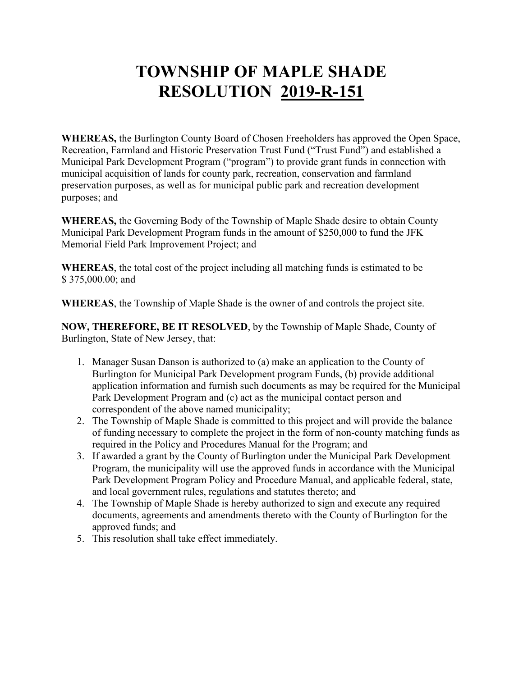**WHEREAS,** the Burlington County Board of Chosen Freeholders has approved the Open Space, Recreation, Farmland and Historic Preservation Trust Fund ("Trust Fund") and established a Municipal Park Development Program ("program") to provide grant funds in connection with municipal acquisition of lands for county park, recreation, conservation and farmland preservation purposes, as well as for municipal public park and recreation development purposes; and

**WHEREAS,** the Governing Body of the Township of Maple Shade desire to obtain County Municipal Park Development Program funds in the amount of \$250,000 to fund the JFK Memorial Field Park Improvement Project; and

**WHEREAS**, the total cost of the project including all matching funds is estimated to be \$375,000.00; and

**WHEREAS**, the Township of Maple Shade is the owner of and controls the project site.

**NOW, THEREFORE, BE IT RESOLVED**, by the Township of Maple Shade, County of Burlington, State of New Jersey, that:

- 1. Manager Susan Danson is authorized to (a) make an application to the County of Burlington for Municipal Park Development program Funds, (b) provide additional application information and furnish such documents as may be required for the Municipal Park Development Program and (c) act as the municipal contact person and correspondent of the above named municipality;
- 2. The Township of Maple Shade is committed to this project and will provide the balance of funding necessary to complete the project in the form of non-county matching funds as required in the Policy and Procedures Manual for the Program; and
- 3. If awarded a grant by the County of Burlington under the Municipal Park Development Program, the municipality will use the approved funds in accordance with the Municipal Park Development Program Policy and Procedure Manual, and applicable federal, state, and local government rules, regulations and statutes thereto; and
- 4. The Township of Maple Shade is hereby authorized to sign and execute any required documents, agreements and amendments thereto with the County of Burlington for the approved funds; and
- 5. This resolution shall take effect immediately.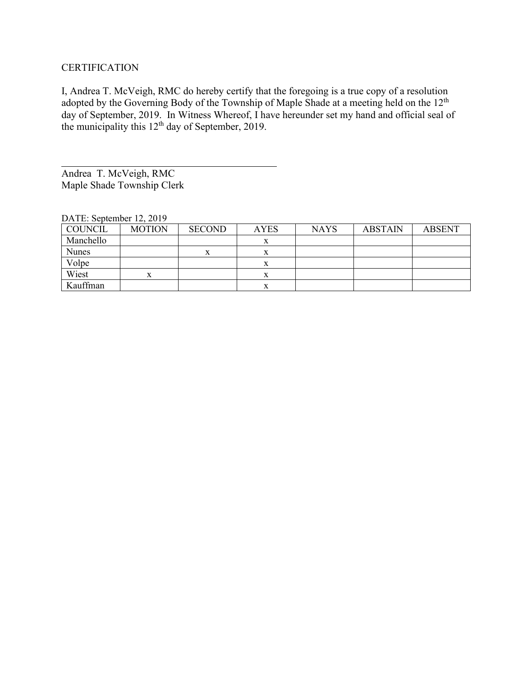#### **CERTIFICATION**

I, Andrea T. McVeigh, RMC do hereby certify that the foregoing is a true copy of a resolution adopted by the Governing Body of the Township of Maple Shade at a meeting held on the 12<sup>th</sup> day of September, 2019. In Witness Whereof, I have hereunder set my hand and official seal of the municipality this  $12<sup>th</sup>$  day of September, 2019.

Andrea T. McVeigh, RMC Maple Shade Township Clerk

| $DATE.$ September 12, $2013$ |               |               |             |             |                |               |
|------------------------------|---------------|---------------|-------------|-------------|----------------|---------------|
| COUNCIL                      | <b>MOTION</b> | <b>SECOND</b> | <b>AYES</b> | <b>NAYS</b> | <b>ABSTAIN</b> | <b>ABSENT</b> |
| Manchello                    |               |               | x           |             |                |               |
| Nunes                        |               |               | △           |             |                |               |
| Volpe                        |               |               |             |             |                |               |
| Wiest                        | x             |               | x           |             |                |               |
| Kauffman                     |               |               | x           |             |                |               |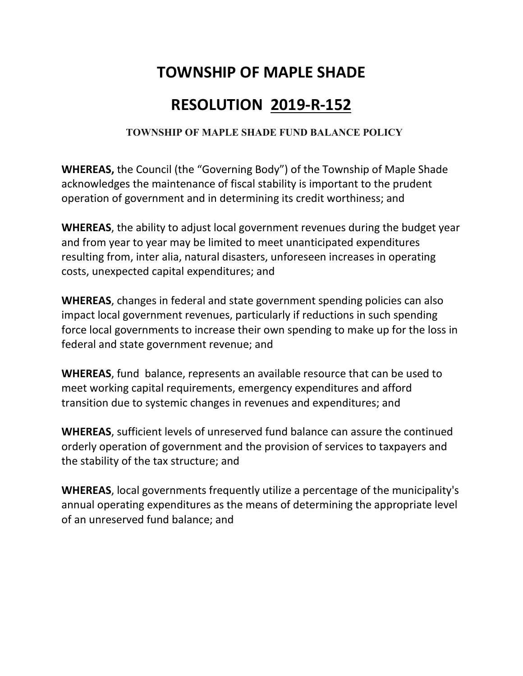## **TOWNSHIP OF MAPLE SHADE**

## **RESOLUTION 2019-R-152**

### **TOWNSHIP OF MAPLE SHADE FUND BALANCE POLICY**

**WHEREAS,** the Council (the "Governing Body") of the Township of Maple Shade acknowledges the maintenance of fiscal stability is important to the prudent operation of government and in determining its credit worthiness; and

**WHEREAS**, the ability to adjust local government revenues during the budget year and from year to year may be limited to meet unanticipated expenditures resulting from, inter alia, natural disasters, unforeseen increases in operating costs, unexpected capital expenditures; and

**WHEREAS**, changes in federal and state government spending policies can also impact local government revenues, particularly if reductions in such spending force local governments to increase their own spending to make up for the loss in federal and state government revenue; and

**WHEREAS**, fund balance, represents an available resource that can be used to meet working capital requirements, emergency expenditures and afford transition due to systemic changes in revenues and expenditures; and

**WHEREAS**, sufficient levels of unreserved fund balance can assure the continued orderly operation of government and the provision of services to taxpayers and the stability of the tax structure; and

**WHEREAS**, local governments frequently utilize a percentage of the municipality's annual operating expenditures as the means of determining the appropriate level of an unreserved fund balance; and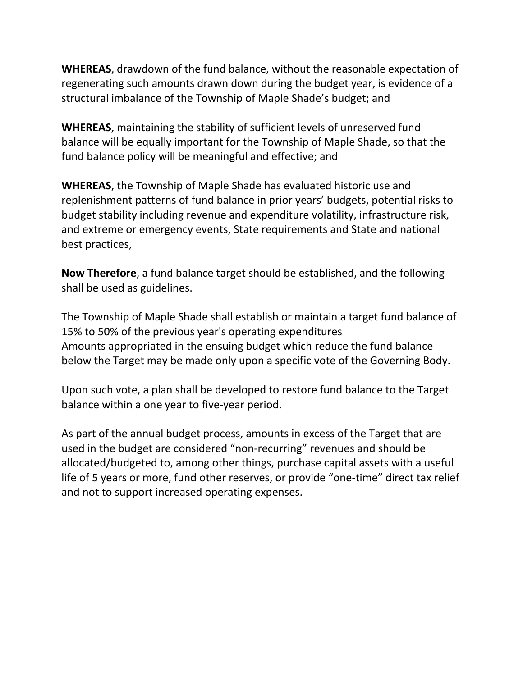**WHEREAS**, drawdown of the fund balance, without the reasonable expectation of regenerating such amounts drawn down during the budget year, is evidence of a structural imbalance of the Township of Maple Shade's budget; and

**WHEREAS**, maintaining the stability of sufficient levels of unreserved fund balance will be equally important for the Township of Maple Shade, so that the fund balance policy will be meaningful and effective; and

**WHEREAS**, the Township of Maple Shade has evaluated historic use and replenishment patterns of fund balance in prior years' budgets, potential risks to budget stability including revenue and expenditure volatility, infrastructure risk, and extreme or emergency events, State requirements and State and national best practices,

**Now Therefore**, a fund balance target should be established, and the following shall be used as guidelines.

The Township of Maple Shade shall establish or maintain a target fund balance of 15% to 50% of the previous year's operating expenditures Amounts appropriated in the ensuing budget which reduce the fund balance below the Target may be made only upon a specific vote of the Governing Body.

Upon such vote, a plan shall be developed to restore fund balance to the Target balance within a one year to five-year period.

As part of the annual budget process, amounts in excess of the Target that are used in the budget are considered "non-recurring" revenues and should be allocated/budgeted to, among other things, purchase capital assets with a useful life of 5 years or more, fund other reserves, or provide "one-time" direct tax relief and not to support increased operating expenses.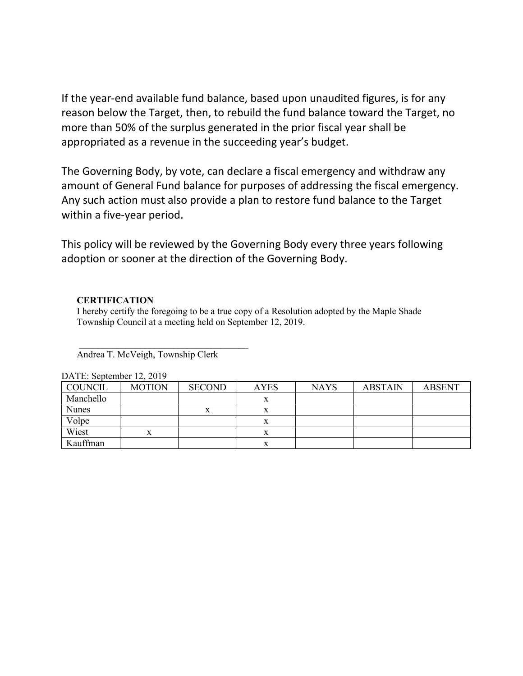If the year-end available fund balance, based upon unaudited figures, is for any reason below the Target, then, to rebuild the fund balance toward the Target, no more than 50% of the surplus generated in the prior fiscal year shall be appropriated as a revenue in the succeeding year's budget.

The Governing Body, by vote, can declare a fiscal emergency and withdraw any amount of General Fund balance for purposes of addressing the fiscal emergency. Any such action must also provide a plan to restore fund balance to the Target within a five-year period.

This policy will be reviewed by the Governing Body every three years following adoption or sooner at the direction of the Governing Body.

#### **CERTIFICATION**

I hereby certify the foregoing to be a true copy of a Resolution adopted by the Maple Shade Township Council at a meeting held on September 12, 2019.

Andrea T. McVeigh, Township Clerk

 $\mathcal{L}_\text{max}$  , where  $\mathcal{L}_\text{max}$  and  $\mathcal{L}_\text{max}$  and  $\mathcal{L}_\text{max}$ 

| <b>COUNCIL</b> | <b>MOTION</b> | <b>SECOND</b> | <b>AYES</b> | <b>NAYS</b> | <b>ABSTAIN</b> | <b>ABSENT</b> |
|----------------|---------------|---------------|-------------|-------------|----------------|---------------|
| Manchello      |               |               | л           |             |                |               |
| <b>Nunes</b>   |               |               | л           |             |                |               |
| Volpe          |               |               | л           |             |                |               |
| Wiest          | x             |               | л           |             |                |               |
| Kauffman       |               |               | △           |             |                |               |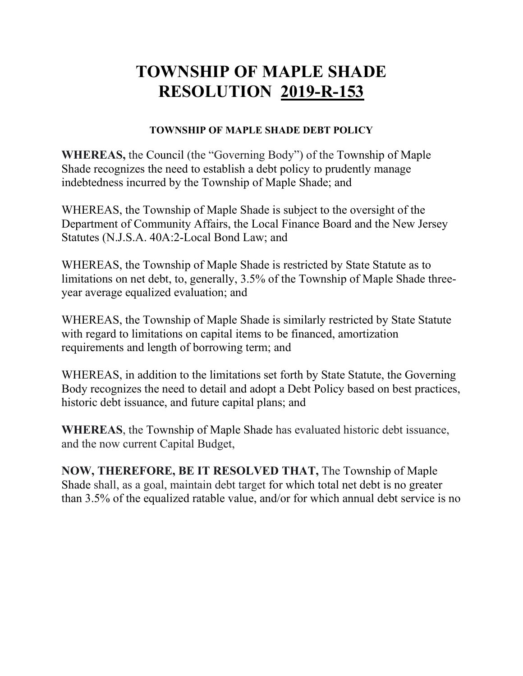### **TOWNSHIP OF MAPLE SHADE DEBT POLICY**

**WHEREAS,** the Council (the "Governing Body") of the Township of Maple Shade recognizes the need to establish a debt policy to prudently manage indebtedness incurred by the Township of Maple Shade; and

WHEREAS, the Township of Maple Shade is subject to the oversight of the Department of Community Affairs, the Local Finance Board and the New Jersey Statutes (N.J.S.A. 40A:2-Local Bond Law; and

WHEREAS, the Township of Maple Shade is restricted by State Statute as to limitations on net debt, to, generally, 3.5% of the Township of Maple Shade threeyear average equalized evaluation; and

WHEREAS, the Township of Maple Shade is similarly restricted by State Statute with regard to limitations on capital items to be financed, amortization requirements and length of borrowing term; and

WHEREAS, in addition to the limitations set forth by State Statute, the Governing Body recognizes the need to detail and adopt a Debt Policy based on best practices, historic debt issuance, and future capital plans; and

**WHEREAS**, the Township of Maple Shade has evaluated historic debt issuance, and the now current Capital Budget,

**NOW, THEREFORE, BE IT RESOLVED THAT,** The Township of Maple Shade shall, as a goal, maintain debt target for which total net debt is no greater than 3.5% of the equalized ratable value, and/or for which annual debt service is no